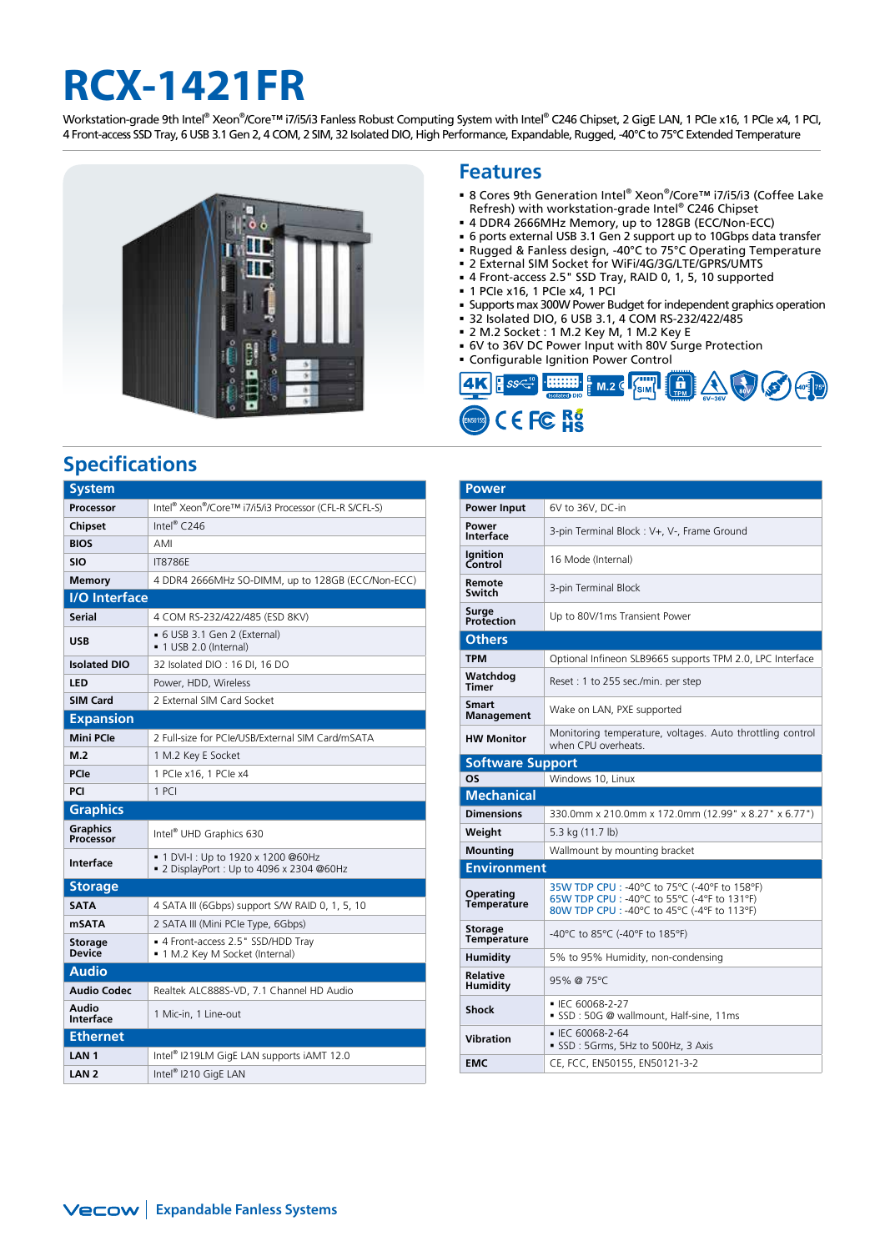# **RCX-1421FR**

Workstation-grade 9th Intel® Xeon®/Core™ i7/i5/i3 Fanless Robust Computing System with Intel® C246 Chipset, 2 GigE LAN, 1 PCIe x16, 1 PCIe x4, 1 PCI, 4 Front-access SSD Tray, 6 USB 3.1 Gen 2, 4 COM, 2 SIM, 32 Isolated DIO, High Performance, Expandable, Rugged, -40°C to 75°C Extended Temperature



## **Specifications**

| <b>System</b>                                                     |                                                                                 |  |  |  |
|-------------------------------------------------------------------|---------------------------------------------------------------------------------|--|--|--|
| Processor                                                         | Intel <sup>®</sup> Xeon <sup>®</sup> /Core™ i7/i5/i3 Processor (CFL-R S/CFL-S)  |  |  |  |
| <b>Chipset</b>                                                    | Intel® $C246$                                                                   |  |  |  |
| <b>BIOS</b>                                                       | AMI                                                                             |  |  |  |
| <b>SIO</b>                                                        | <b>IT8786F</b>                                                                  |  |  |  |
| <b>Memory</b>                                                     | 4 DDR4 2666MHz SO-DIMM, up to 128GB (ECC/Non-ECC)                               |  |  |  |
| <b>I/O</b> Interface                                              |                                                                                 |  |  |  |
| Serial                                                            | 4 COM RS-232/422/485 (ESD 8KV)                                                  |  |  |  |
| <b>USB</b>                                                        | • 6 USB 3.1 Gen 2 (External)<br>■ 1 USB 2.0 (Internal)                          |  |  |  |
| <b>Isolated DIO</b>                                               | 32 Isolated DIO: 16 DI, 16 DO                                                   |  |  |  |
| LED                                                               | Power, HDD, Wireless                                                            |  |  |  |
| <b>SIM Card</b><br>2 External SIM Card Socket<br><b>Expansion</b> |                                                                                 |  |  |  |
|                                                                   |                                                                                 |  |  |  |
| <b>Mini PCle</b>                                                  | 2 Full-size for PCIe/USB/External SIM Card/mSATA                                |  |  |  |
| M.2                                                               | 1 M.2 Key E Socket                                                              |  |  |  |
| PCIe                                                              | 1 PCle x16, 1 PCle x4                                                           |  |  |  |
| PCI                                                               | $1$ PCI                                                                         |  |  |  |
| <b>Graphics</b>                                                   |                                                                                 |  |  |  |
| <b>Graphics</b><br>Processor                                      | Intel <sup>®</sup> UHD Graphics 630                                             |  |  |  |
| <b>Interface</b>                                                  | ■ 1 DVI-I : Up to 1920 x 1200 @60Hz<br>■ 2 DisplayPort: Up to 4096 x 2304 @60Hz |  |  |  |
| <b>Storage</b>                                                    |                                                                                 |  |  |  |
| <b>SATA</b>                                                       | 4 SATA III (6Gbps) support S/W RAID 0, 1, 5, 10                                 |  |  |  |
| <b>mSATA</b>                                                      | 2 SATA III (Mini PCIe Type, 6Gbps)                                              |  |  |  |
| <b>Storage</b><br><b>Device</b>                                   | ■ 4 Front-access 2.5" SSD/HDD Tray<br>· 1 M.2 Key M Socket (Internal)           |  |  |  |
| <b>Audio</b>                                                      |                                                                                 |  |  |  |
| <b>Audio Codec</b>                                                | Realtek ALC888S-VD, 7.1 Channel HD Audio                                        |  |  |  |
| Audio<br><b>Interface</b>                                         | 1 Mic-in, 1 Line-out                                                            |  |  |  |
| <b>Ethernet</b>                                                   |                                                                                 |  |  |  |
| LAN <sub>1</sub>                                                  | Intel <sup>®</sup> I219LM GigE LAN supports iAMT 12.0                           |  |  |  |
| LAN <sub>2</sub>                                                  | Intel® I210 GigE LAN                                                            |  |  |  |

### **Features**

- 8 Cores 9th Generation Intel® Xeon®/Core™ i7/i5/i3 (Coffee Lake Refresh) with workstation-grade Intel® C246 Chipset
- 4 DDR4 2666MHz Memory, up to 128GB (ECC/Non-ECC)
- 6 ports external USB 3.1 Gen 2 support up to 10Gbps data transfer
- Rugged & Fanless design, -40°C to 75°C Operating Temperature
- 2 External SIM Socket for WiFi/4G/3G/LTE/GPRS/UMTS
- 4 Front-access 2.5" SSD Tray, RAID 0, 1, 5, 10 supported 1 PCIe x16, 1 PCIe x4, 1 PCI
- Supports max 300W Power Budget for independent graphics operation
- 32 Isolated DIO, 6 USB 3.1, 4 COM RS-232/422/485
- 2 M.2 Socket : 1 M.2 Key M, 1 M.2 Key E
- 6V to 36V DC Power Input with 80V Surge Protection
- Configurable Ignition Power Control



| <b>Power</b>                         |                                                                                                                                            |  |  |  |
|--------------------------------------|--------------------------------------------------------------------------------------------------------------------------------------------|--|--|--|
| Power Input                          | 6V to 36V, DC-in                                                                                                                           |  |  |  |
| Power<br><b>Interface</b>            | 3-pin Terminal Block: V+, V-, Frame Ground                                                                                                 |  |  |  |
| <b>Ignition</b><br>Control           | 16 Mode (Internal)                                                                                                                         |  |  |  |
| Remote<br>Switch                     | 3-pin Terminal Block                                                                                                                       |  |  |  |
| Surge<br>Protection                  | Up to 80V/1ms Transient Power                                                                                                              |  |  |  |
| <b>Others</b>                        |                                                                                                                                            |  |  |  |
| <b>TPM</b>                           | Optional Infineon SLB9665 supports TPM 2.0, LPC Interface                                                                                  |  |  |  |
| Watchdog<br><b>Timer</b>             | Reset: 1 to 255 sec./min. per step                                                                                                         |  |  |  |
| <b>Smart</b><br><b>Management</b>    | Wake on LAN, PXE supported                                                                                                                 |  |  |  |
| <b>HW Monitor</b>                    | Monitoring temperature, voltages. Auto throttling control<br>when CPU overheats.                                                           |  |  |  |
| <b>Software Support</b>              |                                                                                                                                            |  |  |  |
| <b>OS</b><br>Windows 10, Linux       |                                                                                                                                            |  |  |  |
| <b>Mechanical</b>                    |                                                                                                                                            |  |  |  |
| <b>Dimensions</b>                    | 330.0mm x 210.0mm x 172.0mm (12.99" x 8.27" x 6.77")                                                                                       |  |  |  |
| Weight                               | 5.3 kg (11.7 lb)                                                                                                                           |  |  |  |
| <b>Mounting</b>                      | Wallmount by mounting bracket                                                                                                              |  |  |  |
| <b>Environment</b>                   |                                                                                                                                            |  |  |  |
| <b>Operating</b><br>Temperature      | 35W TDP CPU : -40°C to 75°C (-40°F to 158°F)<br>65W TDP CPU : -40°C to 55°C (-4°F to 131°F)<br>80W TDP CPU : -40°C to 45°C (-4°F to 113°F) |  |  |  |
| <b>Storage</b><br><b>Temperature</b> | -40°C to 85°C (-40°F to 185°F)                                                                                                             |  |  |  |
| <b>Humidity</b>                      | 5% to 95% Humidity, non-condensing                                                                                                         |  |  |  |
| Relative<br>Humidity                 | 95% @ 75°C                                                                                                                                 |  |  |  |
| <b>Shock</b>                         | ■ IEC 60068-2-27<br>SSD: 50G @ wallmount, Half-sine, 11ms                                                                                  |  |  |  |
| <b>Vibration</b>                     | ■ IEC 60068-2-64<br>SSD: 5Grms, 5Hz to 500Hz, 3 Axis                                                                                       |  |  |  |
| <b>EMC</b>                           | CE, FCC, EN50155, EN50121-3-2                                                                                                              |  |  |  |